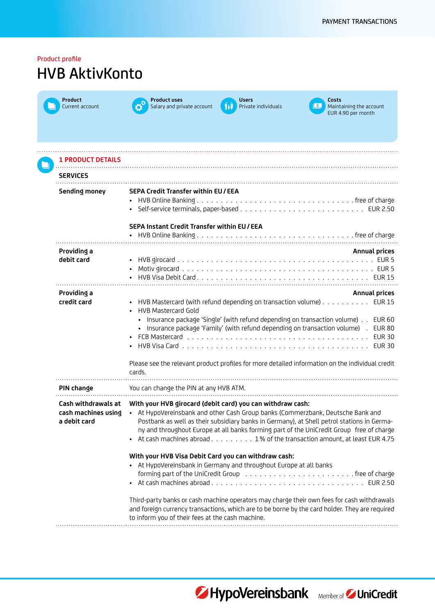| Product profile<br><b>HVB AktivKonto</b>                   |                                                                                                                                                                                                                                                                                                                                                                                                                                                           |  |
|------------------------------------------------------------|-----------------------------------------------------------------------------------------------------------------------------------------------------------------------------------------------------------------------------------------------------------------------------------------------------------------------------------------------------------------------------------------------------------------------------------------------------------|--|
| <b>Product</b><br>Current account                          | <b>Product uses</b><br><b>Users</b><br>Costs<br>€∣<br>Salary and private account<br>Private individuals<br>Maintaining the account<br>Hil<br>EUR 4.90 per month                                                                                                                                                                                                                                                                                           |  |
| <b>1 PRODUCT DETAILS</b>                                   |                                                                                                                                                                                                                                                                                                                                                                                                                                                           |  |
| <b>SERVICES</b>                                            |                                                                                                                                                                                                                                                                                                                                                                                                                                                           |  |
| <b>Sending money</b>                                       | <b>SEPA Credit Transfer within EU/EEA</b>                                                                                                                                                                                                                                                                                                                                                                                                                 |  |
|                                                            | SEPA Instant Credit Transfer within EU/EEA                                                                                                                                                                                                                                                                                                                                                                                                                |  |
| Providing a<br>debit card                                  | <b>Annual prices</b>                                                                                                                                                                                                                                                                                                                                                                                                                                      |  |
| Providing a<br>credit card                                 | Annual prices<br>• HVB Mastercard (with refund depending on transaction volume) EUR 15<br><b>HVB Mastercard Gold</b><br>• Insurance package 'Single' (with refund depending on transaction volume)<br><b>EUR 60</b><br>· Insurance package 'Family' (with refund depending on transaction volume) .<br><b>EUR 80</b><br><b>EUR 30</b><br><b>EUR 30</b><br>Please see the relevant product profiles for more detailed information on the individual credit |  |
| PIN change                                                 | cards.<br>You can change the PIN at any HVB ATM.                                                                                                                                                                                                                                                                                                                                                                                                          |  |
| Cash withdrawals at<br>cash machines using<br>a debit card | With your HVB girocard (debit card) you can withdraw cash:<br>• At HypoVereinsbank and other Cash Group banks (Commerzbank, Deutsche Bank and<br>Postbank as well as their subsidiary banks in Germany), at Shell petrol stations in Germa-<br>ny and throughout Europe at all banks forming part of the UniCredit Group free of charge<br>• At cash machines abroad 1% of the transaction amount, at least EUR 4.75                                      |  |
|                                                            | With your HVB Visa Debit Card you can withdraw cash:<br>• At HypoVereinsbank in Germany and throughout Europe at all banks                                                                                                                                                                                                                                                                                                                                |  |
|                                                            | Third-party banks or cash machine operators may charge their own fees for cash withdrawals<br>and foreign currency transactions, which are to be borne by the card holder. They are required<br>to inform you of their fees at the cash machine.                                                                                                                                                                                                          |  |



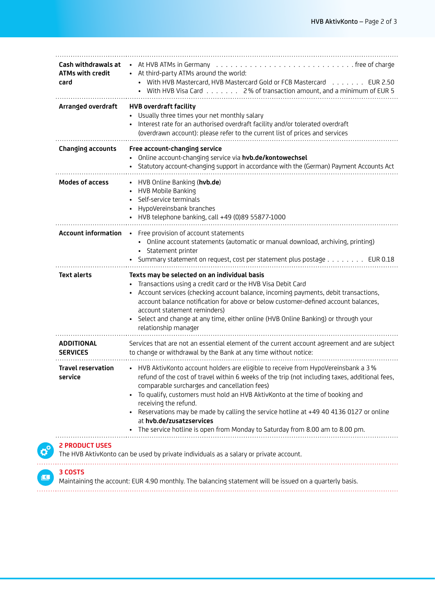| Cash withdrawals at<br>ATMs with credit<br>card | At HVB ATMs in Germany enterprise to contact the contract of the contract of the set of charge<br>At third-party ATMs around the world:<br>• With HVB Mastercard, HVB Mastercard Gold or FCB Mastercard EUR 2.50<br>With HVB Visa Card 2% of transaction amount, and a minimum of EUR 5                                                                                                                                                                                                                                                              |
|-------------------------------------------------|------------------------------------------------------------------------------------------------------------------------------------------------------------------------------------------------------------------------------------------------------------------------------------------------------------------------------------------------------------------------------------------------------------------------------------------------------------------------------------------------------------------------------------------------------|
| Arranged overdraft                              | <b>HVB overdraft facility</b><br>Usually three times your net monthly salary<br>Interest rate for an authorised overdraft facility and/or tolerated overdraft<br>(overdrawn account): please refer to the current list of prices and services                                                                                                                                                                                                                                                                                                        |
| <b>Changing accounts</b>                        | Free account-changing service<br>• Online account-changing service via hvb.de/kontowechsel<br>Statutory account-changing support in accordance with the (German) Payment Accounts Act                                                                                                                                                                                                                                                                                                                                                                |
| <b>Modes of access</b>                          | • HVB Online Banking (hvb.de)<br>HVB Mobile Banking<br>Self-service terminals<br>HypoVereinsbank branches<br>HVB telephone banking, call +49 (0)89 55877-1000                                                                                                                                                                                                                                                                                                                                                                                        |
| <b>Account information</b>                      | • Free provision of account statements<br>• Online account statements (automatic or manual download, archiving, printing)<br>Statement printer<br>Summary statement on request, cost per statement plus postage EUR 0.18                                                                                                                                                                                                                                                                                                                             |
| <b>Text alerts</b>                              | Texts may be selected on an individual basis<br>Transactions using a credit card or the HVB Visa Debit Card<br>Account services (checking account balance, incoming payments, debit transactions,<br>account balance notification for above or below customer-defined account balances,<br>account statement reminders)<br>Select and change at any time, either online (HVB Online Banking) or through your<br>relationship manager                                                                                                                 |
| <b>ADDITIONAL</b><br><b>SERVICES</b>            | Services that are not an essential element of the current account agreement and are subject<br>to change or withdrawal by the Bank at any time without notice:                                                                                                                                                                                                                                                                                                                                                                                       |
| <b>Travel reservation</b><br>service            | • HVB AktivKonto account holders are eligible to receive from HypoVereinsbank a 3%<br>refund of the cost of travel within 6 weeks of the trip (not including taxes, additional fees,<br>comparable surcharges and cancellation fees)<br>To qualify, customers must hold an HVB AktivKonto at the time of booking and<br>receiving the refund.<br>Reservations may be made by calling the service hotline at +49 40 4136 0127 or online<br>at hvb.de/zusatzservices<br>• The service hotline is open from Monday to Saturday from 8.00 am to 8.00 pm. |
| <b>2 PRODUCT USES</b>                           | The HVB AktivKonto can be used by private individuals as a salary or private account.                                                                                                                                                                                                                                                                                                                                                                                                                                                                |
| 3 COSTS                                         | Maintaining the account: EUR 4.90 monthly. The balancing statement will be issued on a quarterly basis.                                                                                                                                                                                                                                                                                                                                                                                                                                              |